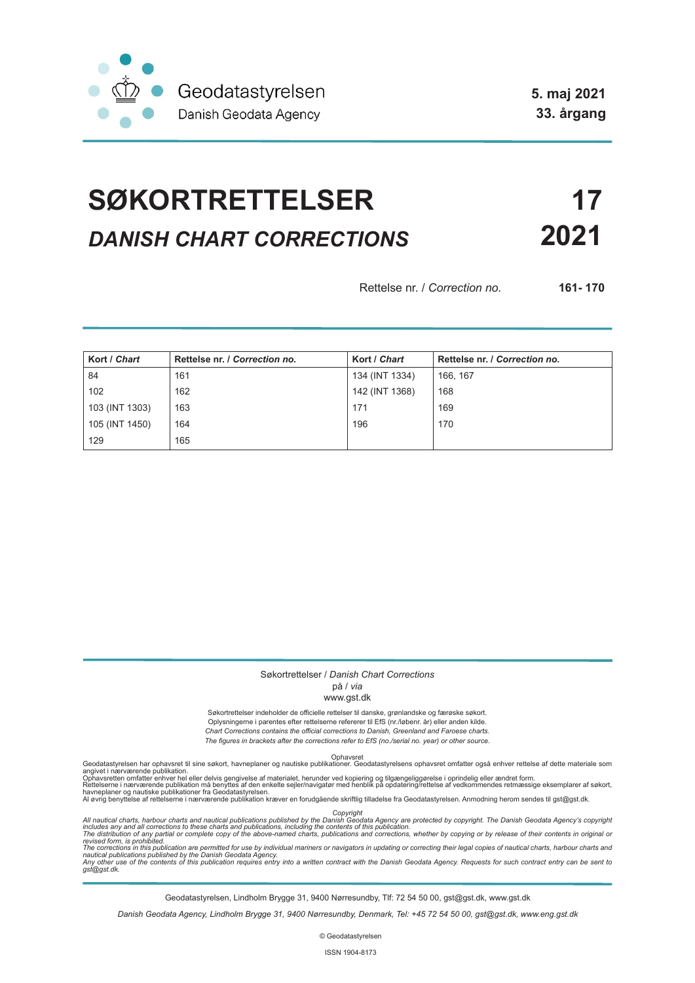

**5. maj 2021 33. årgang**

# **SØKORTRETTELSER 17** *DANISH CHART CORRECTIONS* **2021**

Rettelse nr. / *Correction no.* **161- 170**

| Kort / Chart   | Rettelse nr. / Correction no. | Kort / Chart   | Rettelse nr. / Correction no. |
|----------------|-------------------------------|----------------|-------------------------------|
| 84             | 161                           | 134 (INT 1334) | 166, 167                      |
| 102            | 162                           | 142 (INT 1368) | 168                           |
| 103 (INT 1303) | 163                           | 171            | 169                           |
| 105 (INT 1450) | 164                           | 196            | 170                           |
| 129            | 165                           |                |                               |

### Søkortrettelser / *Danish Chart Corrections*

### på / *via*

### www.gst.dk

Søkortrettelser indeholder de officielle rettelser til danske, grønlandske og færøske søkort. Oplysningerne i parentes efter rettelserne refererer til EfS (nr./løbenr. år) eller anden kilde. *Chart Corrections contains the official corrections to Danish, Greenland and Faroese charts. The figures in brackets after the corrections refer to EfS (no./serial no. year) or other source.*

Ophavsret Geodatastyrelsen har ophavsret til sine søkort, havneplaner og nautiske publikationer. Geodatastyrelsens ophavsret omfatter også enhver rettelse af dette materiale som

angivet i nærværende publikation.<br>Ophavsretten omfatter enhver hel eller delvis gengivelse af materialet, herunder ved kopiering og tilgængeliggørelse i oprindelig eller ændret form.<br>Rettelserne i nærværende publikation må

Copyright<br>includes any and all corrections to these charts and publications published by the Danish Agency are protected by copyright. The Danish Geodata Agency's copyright<br>includes any and all corrections to these charts

Geodatastyrelsen, Lindholm Brygge 31, 9400 Nørresundby, Tlf: 72 54 50 00, gst@gst.dk, www.gst.dk

*Danish Geodata Agency, Lindholm Brygge 31, 9400 Nørresundby, Denmark, Tel: +45 72 54 50 00, gst@gst.dk, www.eng.gst.dk*

© Geodatastyrelsen

ISSN 1904-8173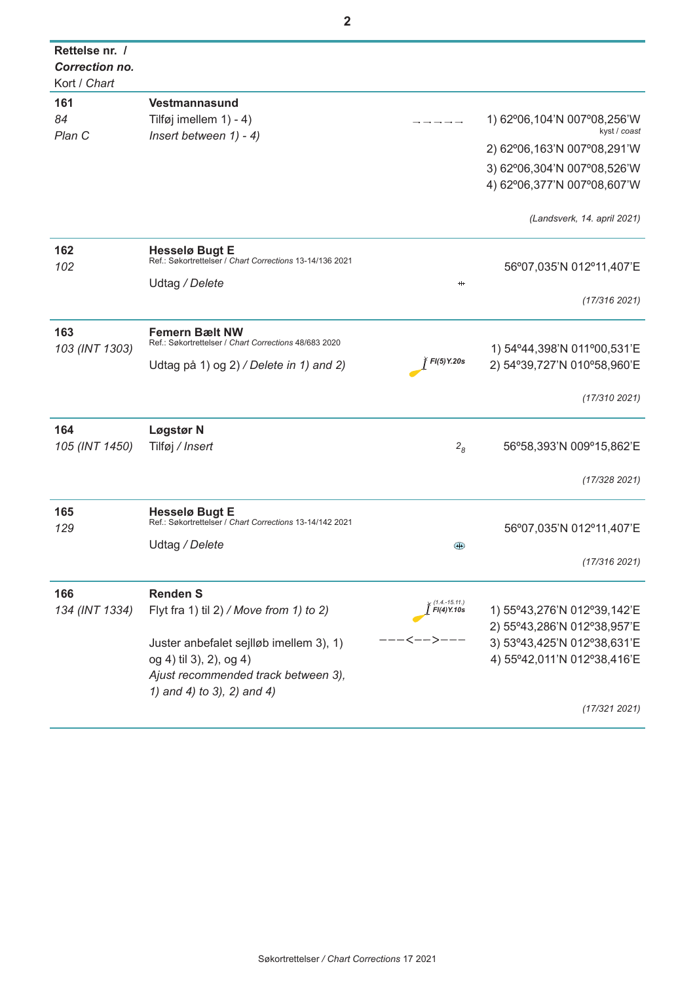| Rettelse nr. /<br><b>Correction no.</b><br>Kort / Chart |                                                                                   |                                     |                                               |  |
|---------------------------------------------------------|-----------------------------------------------------------------------------------|-------------------------------------|-----------------------------------------------|--|
| 161                                                     | Vestmannasund                                                                     |                                     |                                               |  |
| 84<br>Plan C                                            | Tilføj imellem $1) - 4$ )<br>Insert between $1) - 4$ )                            |                                     | 1) 62°06, 104'N 007°08, 256'W<br>kyst / coast |  |
|                                                         |                                                                                   |                                     | 2) 62°06,163'N 007°08,291'W                   |  |
|                                                         |                                                                                   |                                     | 3) 62°06,304'N 007°08,526'W                   |  |
|                                                         |                                                                                   |                                     | 4) 62°06,377'N 007°08,607'W                   |  |
|                                                         |                                                                                   |                                     | (Landsverk, 14. april 2021)                   |  |
| 162                                                     | <b>Hesselø Bugt E</b><br>Ref.: Søkortrettelser / Chart Corrections 13-14/136 2021 |                                     | 56°07,035'N 012°11,407'E                      |  |
| 102                                                     | Udtag / Delete                                                                    | $^{\rm ++}$                         |                                               |  |
|                                                         |                                                                                   |                                     | (17/316 2021)                                 |  |
| 163<br>103 (INT 1303)                                   | <b>Femern Bælt NW</b><br>Ref.: Søkortrettelser / Chart Corrections 48/683 2020    |                                     | 1) 54°44,398'N 011°00,531'E                   |  |
|                                                         | Udtag på 1) og 2) / Delete in 1) and 2)                                           | FI(5)Y.20s                          | 2) 54°39,727'N 010°58,960'E                   |  |
|                                                         |                                                                                   |                                     | (17/310 2021)                                 |  |
| 164                                                     | Løgstør N                                                                         |                                     |                                               |  |
| 105 (INT 1450)                                          | Tilføj / Insert                                                                   | 2 <sub>8</sub>                      | 56°58,393'N 009°15,862'E                      |  |
|                                                         |                                                                                   |                                     | (17/328 2021)                                 |  |
| 165<br>129                                              | <b>Hesselø Bugt E</b><br>Ref.: Søkortrettelser / Chart Corrections 13-14/142 2021 |                                     |                                               |  |
|                                                         |                                                                                   |                                     | 56°07,035'N 012°11,407'E                      |  |
|                                                         | Udtag / Delete                                                                    | $+$                                 | (17/316 2021)                                 |  |
| 166                                                     | <b>Renden S</b>                                                                   |                                     |                                               |  |
| 134 (INT 1334)                                          | Flyt fra 1) til $2$ ) / Move from 1) to 2)                                        | (1.4.-15.11.)<br><b>FI(4) Y.10s</b> | 1) 55°43,276'N 012°39,142'E                   |  |
|                                                         |                                                                                   |                                     | 2) 55°43,286'N 012°38,957'E                   |  |
|                                                         | Juster anbefalet sejlløb imellem 3), 1)                                           |                                     | 3) 53°43,425'N 012°38,631'E                   |  |
|                                                         | og 4) til 3), 2), og 4)                                                           |                                     | 4) 55°42,011'N 012°38,416'E                   |  |
|                                                         | Ajust recommended track between 3),                                               |                                     |                                               |  |
|                                                         | 1) and 4) to 3), 2) and 4)                                                        |                                     |                                               |  |
|                                                         |                                                                                   |                                     | (17/3212021)                                  |  |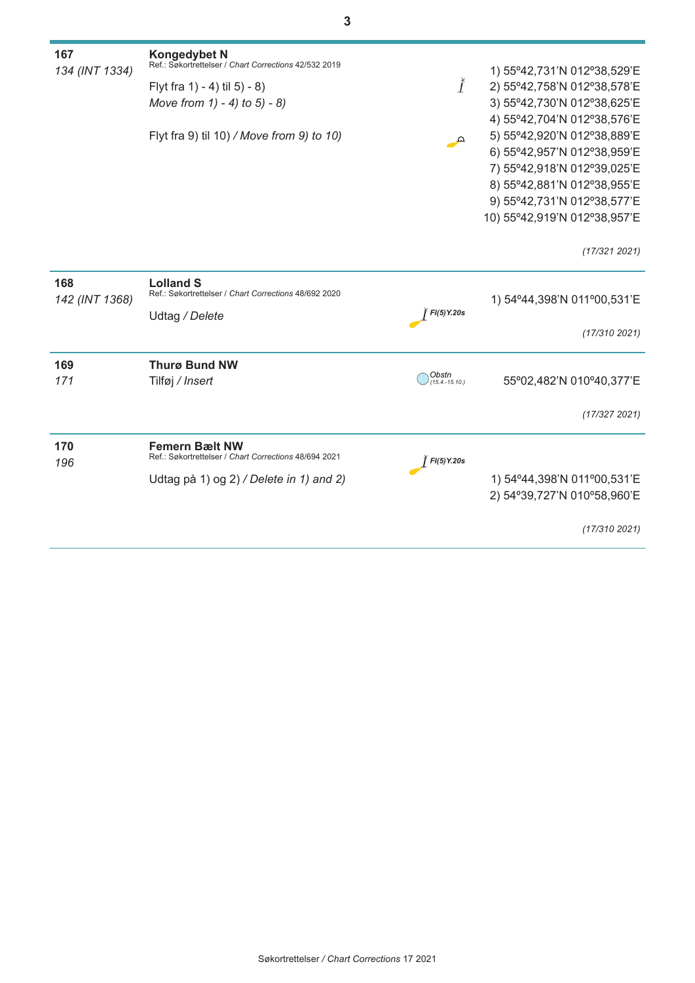| 167<br>134 (INT 1334) | <b>Kongedybet N</b><br>Ref.: Søkortrettelser / Chart Corrections 42/532 2019 |                         | 1) 55°42,731'N 012°38,529'E  |
|-----------------------|------------------------------------------------------------------------------|-------------------------|------------------------------|
|                       | Flyt fra 1) - 4) til 5) - 8)                                                 | $\check{I}$             | 2) 55°42,758'N 012°38,578'E  |
|                       | Move from $1) - 4$ ) to $5) - 8$ )                                           |                         | 3) 55°42,730'N 012°38,625'E  |
|                       |                                                                              |                         | 4) 55°42,704'N 012°38,576'E  |
|                       | Flyt fra 9) til 10) / Move from 9) to 10)                                    | Ω                       | 5) 55°42,920'N 012°38,889'E  |
|                       |                                                                              |                         | 6) 55°42,957'N 012°38,959'E  |
|                       |                                                                              |                         | 7) 55°42,918'N 012°39,025'E  |
|                       |                                                                              |                         | 8) 55°42,881'N 012°38,955'E  |
|                       |                                                                              |                         | 9) 55°42,731'N 012°38,577'E  |
|                       |                                                                              |                         | 10) 55°42,919'N 012°38,957'E |
|                       |                                                                              |                         | (17/3212021)                 |
| 168<br>142 (INT 1368) | <b>Lolland S</b><br>Ref.: Søkortrettelser / Chart Corrections 48/692 2020    |                         | 1) 54°44,398'N 011°00,531'E  |
|                       | Udtag / Delete                                                               | F(5)Y.20s               |                              |
|                       |                                                                              |                         | (17/310 2021)                |
| 169                   | <b>Thurø Bund NW</b>                                                         |                         |                              |
| 171                   | Tilføj / Insert                                                              | Obstn<br>(15.4.-15.10.) | 55°02,482'N 010°40,377'E     |
|                       |                                                                              |                         | (17/327 2021)                |
| 170                   | <b>Femern Bælt NW</b>                                                        |                         |                              |
| 196                   | Ref.: Søkortrettelser / Chart Corrections 48/694 2021                        | $H(5)$ Y.20s            |                              |
|                       | Udtag på 1) og 2) / Delete in 1) and 2)                                      |                         | 1) 54°44,398'N 011°00,531'E  |
|                       |                                                                              |                         | 2) 54°39,727'N 010°58,960'E  |
|                       |                                                                              |                         | (17/310 2021)                |
|                       |                                                                              |                         |                              |